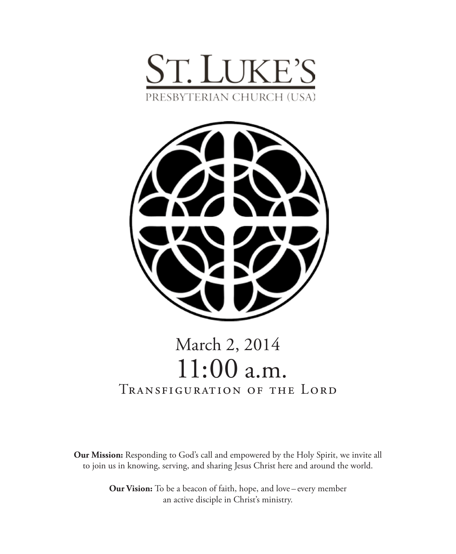



# March 2, 2014 11:00 a.m. Transfiguration of the Lord

**Our Mission:** Responding to God's call and empowered by the Holy Spirit, we invite all to join us in knowing, serving, and sharing Jesus Christ here and around the world.

> **Our Vision:** To be a beacon of faith, hope, and love – every member an active disciple in Christ's ministry.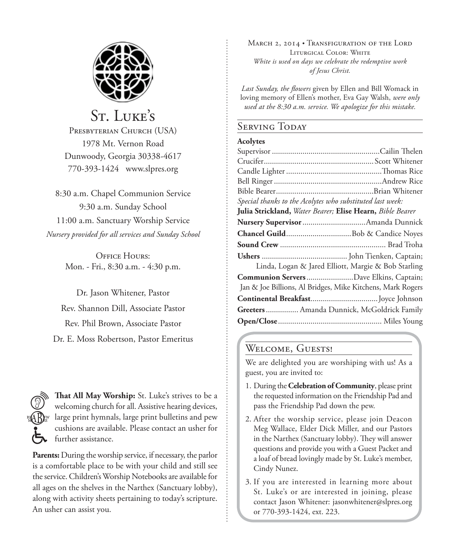

# St. Luke's

PRESBYTERIAN CHURCH (USA) 1978 Mt. Vernon Road Dunwoody, Georgia 30338-4617 770-393-1424 www.slpres.org

8:30 a.m. Chapel Communion Service 9:30 a.m. Sunday School 11:00 a.m. Sanctuary Worship Service *Nursery provided for all services and Sunday School*

> OFFICE HOURS: Mon. - Fri., 8:30 a.m. - 4:30 p.m.

Dr. Jason Whitener, Pastor Rev. Shannon Dill, Associate Pastor Rev. Phil Brown, Associate Pastor Dr. E. Moss Robertson, Pastor Emeritus



**That All May Worship:** St. Luke's strives to be a welcoming church for all. Assistive hearing devices, large print hymnals, large print bulletins and pew cushions are available. Please contact an usher for further assistance.

**Parents:** During the worship service, if necessary, the parlor is a comfortable place to be with your child and still see the service. Children's Worship Notebooks are available for all ages on the shelves in the Narthex (Sanctuary lobby), along with activity sheets pertaining to today's scripture. An usher can assist you.

MARCH 2, 2014 • TRANSFIGURATION OF THE LORD Liturgical Color: White *White is used on days we celebrate the redemptive work of Jesus Christ.* 

*Last Sunday, the flowers* given by Ellen and Bill Womack in loving memory of Ellen's mother, Eva Gay Walsh, *were only used at the 8:30 a.m. service. We apologize for this mistake.*

#### SERVING TODAY

#### **Acolytes**

| Special thanks to the Acolytes who substituted last week:  |
|------------------------------------------------------------|
| Julia Strickland, Water Bearer; Elise Hearn, Bible Bearer  |
|                                                            |
|                                                            |
|                                                            |
|                                                            |
| Linda, Logan & Jared Elliott, Margie & Bob Starling        |
| Communion Servers Dave Elkins, Captain;                    |
| Jan & Joe Billions, Al Bridges, Mike Kitchens, Mark Rogers |
|                                                            |
| Greeters  Amanda Dunnick, McGoldrick Family                |
|                                                            |

#### WELCOME, GUESTS!

We are delighted you are worshiping with us! As a guest, you are invited to:

- 1. During the **Celebration of Community**, please print the requested information on the Friendship Pad and pass the Friendship Pad down the pew.
- 2. After the worship service, please join Deacon Meg Wallace, Elder Dick Miller, and our Pastors in the Narthex (Sanctuary lobby). They will answer questions and provide you with a Guest Packet and a loaf of bread lovingly made by St. Luke's member, Cindy Nunez.
- 3. If you are interested in learning more about St. Luke's or are interested in joining, please contact Jason Whitener: jasonwhitener@slpres.org or 770-393-1424, ext. 223.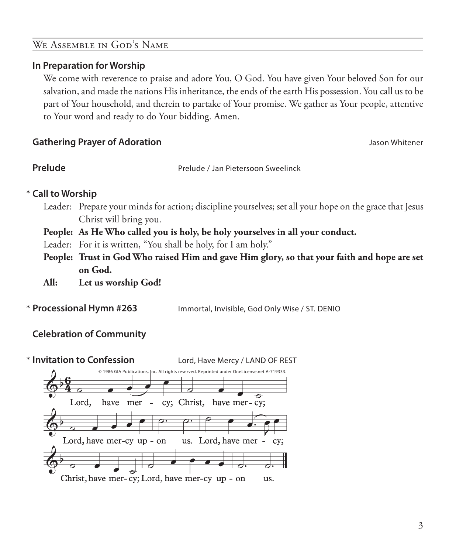#### We Assemble in God's Name

#### **In Preparation for Worship**

 We come with reverence to praise and adore You, O God. You have given Your beloved Son for our salvation, and made the nations His inheritance, the ends of the earth His possession. You call us to be part of Your household, and therein to partake of Your promise. We gather as Your people, attentive to Your word and ready to do Your bidding. Amen.

#### **Gathering Prayer of Adoration** Jason Whitener

**Prelude** Prelude / Jan Pietersoon Sweelinck

#### **Call to Worship**  \*

- Leader: Prepare your minds for action; discipline yourselves; set all your hope on the grace that Jesus Christ will bring you.
- **People: As He Who called you is holy, be holy yourselves in all your conduct.**
- Leader: For it is written, "You shall be holy, for I am holy."
- **People: Trust in God Who raised Him and gave Him glory, so that your faith and hope are set on God.**
- **All: Let us worship God!**
- \* Processional Hymn #263

**Immortal, Invisible, God Only Wise / ST. DENIO** 

### **Celebration of Community**

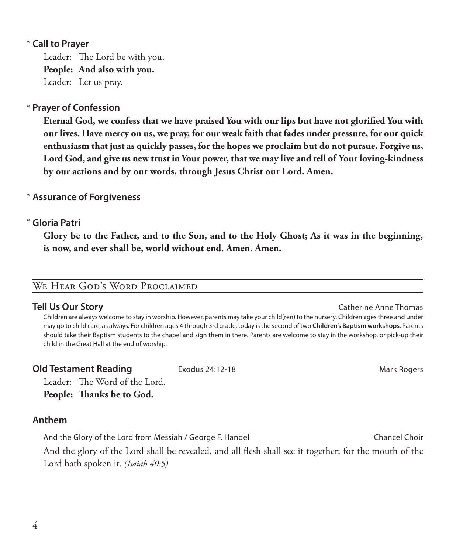#### **Call to Prayer**  \*

Leader: The Lord be with you. **People: And also with you.** Leader: Let us pray.

### **Prayer of Confession**  \*

 **Eternal God, we confess that we have praised You with our lips but have not glorified You with our lives. Have mercy on us, we pray, for our weak faith that fades under pressure, for our quick enthusiasm that just as quickly passes, for the hopes we proclaim but do not pursue. Forgive us, Lord God, and give us new trust in Your power, that we may live and tell of Your loving-kindness by our actions and by our words, through Jesus Christ our Lord. Amen.**

#### **Assurance of Forgiveness** \*

#### **Gloria Patri** \*

 **Glory be to the Father, and to the Son, and to the Holy Ghost; As it was in the beginning, is now, and ever shall be, world without end. Amen. Amen.**

#### We Hear God's Word Proclaimed

#### **Tell Us Our Story** Catherine Anne Thomas

 Children are always welcome to stay in worship. However, parents may take your child(ren) to the nursery. Children ages three and under may go to child care, as always. For children ages 4 through 3rd grade, today is the second of two **Children's Baptism workshops**. Parents should take their Baptism students to the chapel and sign them in there. Parents are welcome to stay in the workshop, or pick-up their child in the Great Hall at the end of worship.

#### **Old Testament Reading** Exodus 24:12-18 **Constant Account Account Account Account Account Account Account Account Mark Rogers**

Leader: The Word of the Lord.

**People: Thanks be to God.** 

#### **Anthem**

And the Glory of the Lord from Messiah / George F. Handel Chancel Chancel Choir

 And the glory of the Lord shall be revealed, and all flesh shall see it together; for the mouth of the Lord hath spoken it. *(Isaiah 40:5)*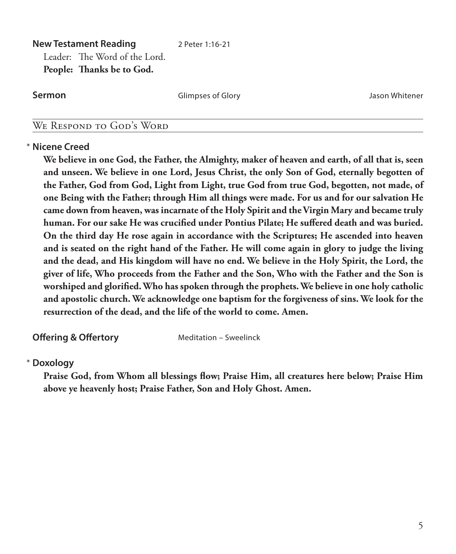**New Testament Reading** 2 Peter 1:16-21 Leader: The Word of the Lord. **People: Thanks be to God.**

**Sermon** Glimpses of Glory **Glory Glory** Jason Whitener

#### We Respond to God's Word

#### **Nicene Creed** \*

 **We believe in one God, the Father, the Almighty, maker of heaven and earth, of all that is, seen and unseen. We believe in one Lord, Jesus Christ, the only Son of God, eternally begotten of the Father, God from God, Light from Light, true God from true God, begotten, not made, of one Being with the Father; through Him all things were made. For us and for our salvation He came down from heaven, was incarnate of the Holy Spirit and the Virgin Mary and became truly human. For our sake He was crucified under Pontius Pilate; He suffered death and was buried. On the third day He rose again in accordance with the Scriptures; He ascended into heaven and is seated on the right hand of the Father. He will come again in glory to judge the living and the dead, and His kingdom will have no end. We believe in the Holy Spirit, the Lord, the giver of life, Who proceeds from the Father and the Son, Who with the Father and the Son is worshiped and glorified. Who has spoken through the prophets. We believe in one holy catholic and apostolic church. We acknowledge one baptism for the forgiveness of sins. We look for the resurrection of the dead, and the life of the world to come. Amen.**

**Offering & Offertory** Meditation – Sweelinck

#### **Doxology** \*

 **Praise God, from Whom all blessings flow; Praise Him, all creatures here below; Praise Him above ye heavenly host; Praise Father, Son and Holy Ghost. Amen.**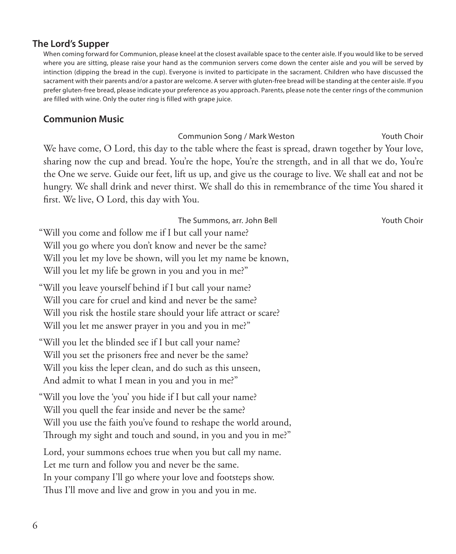#### **The Lord's Supper**

 When coming forward for Communion, please kneel at the closest available space to the center aisle. If you would like to be served where you are sitting, please raise your hand as the communion servers come down the center aisle and you will be served by intinction (dipping the bread in the cup). Everyone is invited to participate in the sacrament. Children who have discussed the sacrament with their parents and/or a pastor are welcome. A server with gluten-free bread will be standing at the center aisle. If you prefer gluten-free bread, please indicate your preference as you approach. Parents, please note the center rings of the communion are filled with wine. Only the outer ring is filled with grape juice.

#### **Communion Music**

Communion Song / Mark Weston Youth Choir We have come, O Lord, this day to the table where the feast is spread, drawn together by Your love, sharing now the cup and bread. You're the hope, You're the strength, and in all that we do, You're the One we serve. Guide our feet, lift us up, and give us the courage to live. We shall eat and not be hungry. We shall drink and never thirst. We shall do this in remembrance of the time You shared it first. We live, O Lord, this day with You.

The Summons, arr. John Bell Youth Choir

"Will you come and follow me if I but call your name? Will you go where you don't know and never be the same? Will you let my love be shown, will you let my name be known, Will you let my life be grown in you and you in me?"

- "Will you leave yourself behind if I but call your name? Will you care for cruel and kind and never be the same? Will you risk the hostile stare should your life attract or scare? Will you let me answer prayer in you and you in me?"
- "Will you let the blinded see if I but call your name? Will you set the prisoners free and never be the same? Will you kiss the leper clean, and do such as this unseen, And admit to what I mean in you and you in me?"

"Will you love the 'you' you hide if I but call your name? Will you quell the fear inside and never be the same? Will you use the faith you've found to reshape the world around, Through my sight and touch and sound, in you and you in me?"

 Lord, your summons echoes true when you but call my name. Let me turn and follow you and never be the same. In your company I'll go where your love and footsteps show. Thus I'll move and live and grow in you and you in me.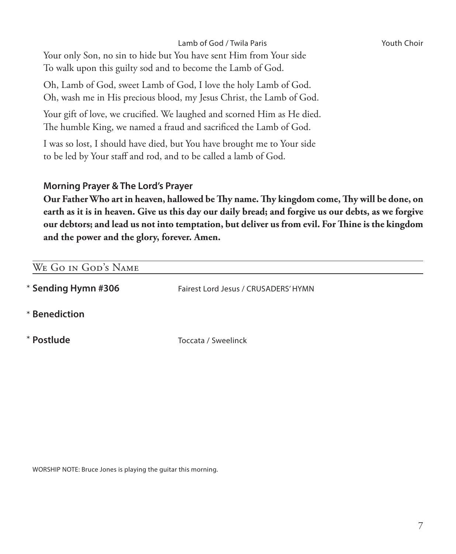Lamb of God / Twila Paris The Choir New Youth Choir Your only Son, no sin to hide but You have sent Him from Your side To walk upon this guilty sod and to become the Lamb of God.

 Oh, Lamb of God, sweet Lamb of God, I love the holy Lamb of God. Oh, wash me in His precious blood, my Jesus Christ, the Lamb of God.

 Your gift of love, we crucified. We laughed and scorned Him as He died. The humble King, we named a fraud and sacrificed the Lamb of God.

 I was so lost, I should have died, but You have brought me to Your side to be led by Your staff and rod, and to be called a lamb of God.

#### **Morning Prayer & The Lord's Prayer**

 **Our Father Who art in heaven, hallowed be Thy name. Thy kingdom come, Thy will be done, on earth as it is in heaven. Give us this day our daily bread; and forgive us our debts, as we forgive our debtors; and lead us not into temptation, but deliver us from evil. For Thine is the kingdom and the power and the glory, forever. Amen.**

| WE GO IN GOD'S NAME |                                      |
|---------------------|--------------------------------------|
| * Sending Hymn #306 | Fairest Lord Jesus / CRUSADERS' HYMN |
| * Benediction       |                                      |
| * Postlude          | Toccata / Sweelinck                  |

WORSHIP NOTE: Bruce Jones is playing the guitar this morning.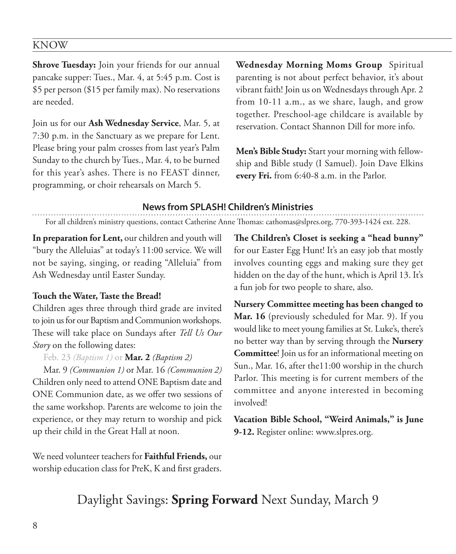#### KNOW

**Shrove Tuesday:** Join your friends for our annual pancake supper: Tues., Mar. 4, at 5:45 p.m. Cost is \$5 per person (\$15 per family max). No reservations are needed.

Join us for our **Ash Wednesday Service**, Mar. 5, at 7:30 p.m. in the Sanctuary as we prepare for Lent. Please bring your palm crosses from last year's Palm Sunday to the church by Tues., Mar. 4, to be burned for this year's ashes. There is no FEAST dinner, programming, or choir rehearsals on March 5.

**Wednesday Morning Moms Group** Spiritual parenting is not about perfect behavior, it's about vibrant faith! Join us on Wednesdays through Apr. 2 from 10-11 a.m., as we share, laugh, and grow together. Preschool-age childcare is available by reservation. Contact Shannon Dill for more info.

**Men's Bible Study:** Start your morning with fellowship and Bible study (I Samuel). Join Dave Elkins **every Fri.** from 6:40-8 a.m. in the Parlor.

#### **News from SPLASH! Children's Ministries**

For all children's ministry questions, contact Catherine Anne Thomas: cathomas@slpres.org, 770-393-1424 ext. 228.

**In preparation for Lent,** our children and youth will "bury the Alleluias" at today's 11:00 service. We will not be saying, singing, or reading "Alleluia" from Ash Wednesday until Easter Sunday.

#### **Touch the Water, Taste the Bread!**

Children ages three through third grade are invited to join us for our Baptism and Communion workshops. These will take place on Sundays after *Tell Us Our Story* on the following dates:

Feb. 23 *(Baptism 1)* or **Mar. 2** *(Baptism 2)*

Mar. 9 *(Communion 1)* or Mar. 16 *(Communion 2)* Children only need to attend ONE Baptism date and ONE Communion date, as we offer two sessions of the same workshop. Parents are welcome to join the experience, or they may return to worship and pick up their child in the Great Hall at noon.

**The Children's Closet is seeking a "head bunny"** for our Easter Egg Hunt! It's an easy job that mostly involves counting eggs and making sure they get hidden on the day of the hunt, which is April 13. It's a fun job for two people to share, also.

**Nursery Committee meeting has been changed to Mar. 16** (previously scheduled for Mar. 9). If you would like to meet young families at St. Luke's, there's no better way than by serving through the **Nursery Committee**! Join us for an informational meeting on Sun., Mar. 16, after the11:00 worship in the church Parlor. This meeting is for current members of the committee and anyone interested in becoming involved!

**Vacation Bible School, "Weird Animals," is June 9-12.** Register online: www.slpres.org.

We need volunteer teachers for **Faithful Friends,** our worship education class for PreK, K and first graders.

Daylight Savings: **Spring Forward** Next Sunday, March 9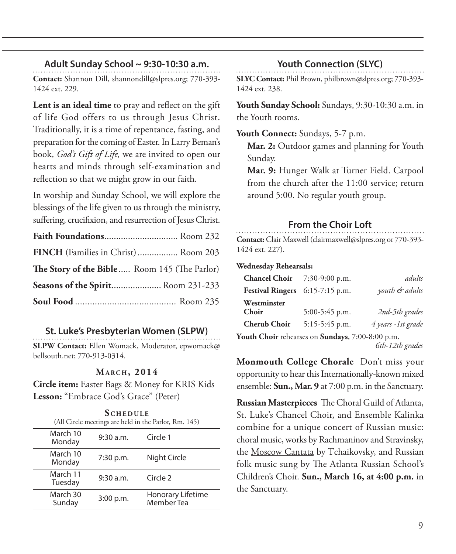#### **Adult Sunday School ~ 9:30-10:30 a.m.**

**Contact:** Shannon Dill, shannondill@slpres.org; 770-393- 1424 ext. 229.

**Lent is an ideal time** to pray and reflect on the gift of life God offers to us through Jesus Christ. Traditionally, it is a time of repentance, fasting, and preparation for the coming of Easter. In Larry Beman's book, *God's Gift of Life,* we are invited to open our hearts and minds through self-examination and reflection so that we might grow in our faith.

In worship and Sunday School, we will explore the blessings of the life given to us through the ministry, suffering, crucifixion, and resurrection of Jesus Christ.

| Faith Foundations Room 232                   |  |
|----------------------------------------------|--|
| FINCH (Families in Christ) Room 203          |  |
| The Story of the Bible Room 145 (The Parlor) |  |
| Seasons of the Spirit Room 231-233           |  |
|                                              |  |

#### **St. Luke's Presbyterian Women (SLPW)**

**SLPW Contact:** Ellen Womack, Moderator, epwomack@ bellsouth.net; 770-913-0314.

#### **Ma r c h , 2014**

**Circle item:** Easter Bags & Money for KRIS Kids **Lesson:** "Embrace God's Grace" (Peter)

| <b>SCHEDULE</b>                                       |  |
|-------------------------------------------------------|--|
| (All Circle meetings are held in the Parlor, Rm. 145) |  |

| March 10<br>Monday  | $9:30$ a.m. | Circle 1                        |
|---------------------|-------------|---------------------------------|
| March 10<br>Monday  | 7:30 p.m.   | Night Circle                    |
| March 11<br>Tuesday | $9:30$ a.m. | Circle 2                        |
| March 30<br>Sunday  | 3:00 p.m.   | Honorary Lifetime<br>Member Tea |

#### **Youth Connection (SLYC)**

**SLYC Contact:** Phil Brown, philbrown@slpres.org; 770-393- 1424 ext. 238.

**Youth Sunday School:** Sundays, 9:30-10:30 a.m. in the Youth rooms.

Youth Connect: Sundays, 5-7 p.m.

 **Mar. 2:** Outdoor games and planning for Youth Sunday.

 **Mar. 9:** Hunger Walk at Turner Field. Carpool from the church after the 11:00 service; return around 5:00. No regular youth group.

#### **From the Choir Loft**

**Contact:** Clair Maxwell (clairmaxwell@slpres.org or 770-393- 1424 ext. 227).

#### **Wednesday Rehearsals:**

| <b>Chancel Choir</b> $7:30-9:00$ p.m.            |                  | adults             |
|--------------------------------------------------|------------------|--------------------|
| Festival Ringers 6:15-7:15 p.m.                  |                  | youth & adults     |
| Westminster                                      |                  |                    |
| Choir                                            | $5:00-5:45$ p.m. | 2nd-5th grades     |
| <b>Cherub Choir</b>                              | $5:15-5:45$ p.m. | 4 years -1st grade |
| Youth Choir rehearses on Sundays, 7:00-8:00 p.m. |                  |                    |

*6th-12th grades*

**Monmouth College Chorale** Don't miss your opportunity to hear this Internationally-known mixed ensemble: **Sun., Mar. 9** at 7:00 p.m. in the Sanctuary.

**Russian Masterpieces** The Choral Guild of Atlanta, St. Luke's Chancel Choir, and Ensemble Kalinka combine for a unique concert of Russian music: choral music, works by Rachmaninov and Stravinsky, the Moscow Cantata by Tchaikovsky, and Russian folk music sung by The Atlanta Russian School's Children's Choir. **Sun., March 16, at 4:00 p.m.** in the Sanctuary.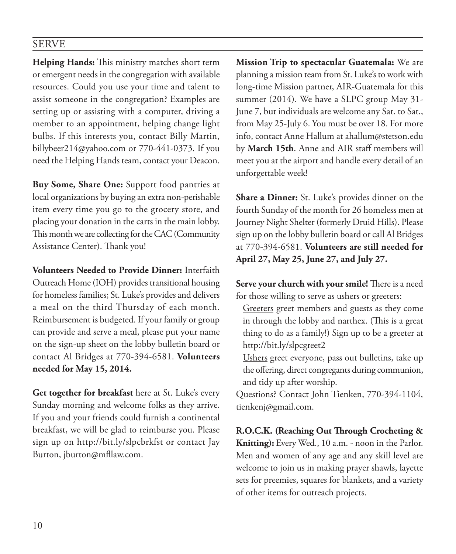#### SERVE

**Helping Hands:** This ministry matches short term or emergent needs in the congregation with available resources. Could you use your time and talent to assist someone in the congregation? Examples are setting up or assisting with a computer, driving a member to an appointment, helping change light bulbs. If this interests you, contact Billy Martin, billybeer214@yahoo.com or 770-441-0373. If you need the Helping Hands team, contact your Deacon.

**Buy Some, Share One:** Support food pantries at local organizations by buying an extra non-perishable item every time you go to the grocery store, and placing your donation in the carts in the main lobby. This month we are collecting for the CAC (Community Assistance Center). Thank you!

**Volunteers Needed to Provide Dinner:** Interfaith Outreach Home (IOH) provides transitional housing for homeless families; St. Luke's provides and delivers a meal on the third Thursday of each month. Reimbursement is budgeted. If your family or group can provide and serve a meal, please put your name on the sign-up sheet on the lobby bulletin board or contact Al Bridges at 770-394-6581. **Volunteers needed for May 15, 2014.**

**Get together for breakfast** here at St. Luke's every Sunday morning and welcome folks as they arrive. If you and your friends could furnish a continental breakfast, we will be glad to reimburse you. Please sign up on http://bit.ly/slpcbrkfst or contact Jay Burton, jburton@mfllaw.com.

**Mission Trip to spectacular Guatemala:** We are planning a mission team from St. Luke's to work with long-time Mission partner, AIR-Guatemala for this summer (2014). We have a SLPC group May 31- June 7, but individuals are welcome any Sat. to Sat., from May 25-July 6. You must be over 18. For more info, contact Anne Hallum at ahallum@stetson.edu by **March 15th**. Anne and AIR staff members will meet you at the airport and handle every detail of an unforgettable week!

**Share a Dinner:** St. Luke's provides dinner on the fourth Sunday of the month for 26 homeless men at Journey Night Shelter (formerly Druid Hills). Please sign up on the lobby bulletin board or call Al Bridges at 770-394-6581. **Volunteers are still needed for April 27, May 25, June 27, and July 27.**

**Serve your church with your smile!** There is a need for those willing to serve as ushers or greeters:

- Greeters greet members and guests as they come in through the lobby and narthex. (This is a great thing to do as a family!) Sign up to be a greeter at http://bit.ly/slpcgreet2
- Ushers greet everyone, pass out bulletins, take up the offering, direct congregants during communion, and tidy up after worship.

Questions? Contact John Tienken, 770-394-1104, tienkenj@gmail.com.

**R.O.C.K. (Reaching Out Through Crocheting & Knitting):** Every Wed., 10 a.m. - noon in the Parlor. Men and women of any age and any skill level are welcome to join us in making prayer shawls, layette sets for preemies, squares for blankets, and a variety of other items for outreach projects.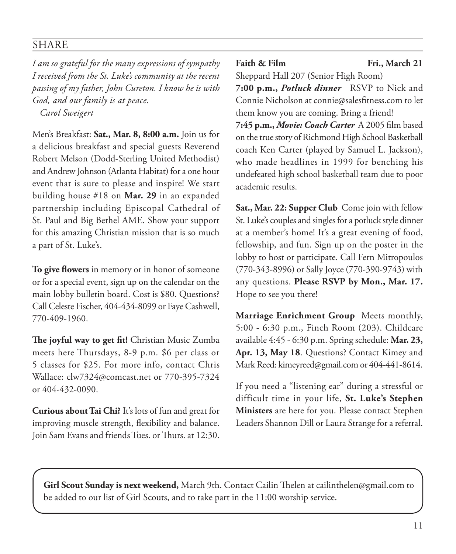#### SHARE

*I am so grateful for the many expressions of sympathy I received from the St. Luke's community at the recent passing of my father, John Cureton. I know he is with God, and our family is at peace. Carol Sweigert*

Men's Breakfast: **Sat., Mar. 8, 8:00 a.m.** Join us for a delicious breakfast and special guests Reverend Robert Melson (Dodd-Sterling United Methodist) and Andrew Johnson (Atlanta Habitat) for a one hour event that is sure to please and inspire! We start building house #18 on **Mar. 29** in an expanded partnership including Episcopal Cathedral of St. Paul and Big Bethel AME. Show your support for this amazing Christian mission that is so much a part of St. Luke's.

**To give flowers** in memory or in honor of someone or for a special event, sign up on the calendar on the main lobby bulletin board. Cost is \$80. Questions? Call Celeste Fischer, 404-434-8099 or Faye Cashwell, 770-409-1960.

**The joyful way to get fit!** Christian Music Zumba meets here Thursdays, 8-9 p.m. \$6 per class or 5 classes for \$25. For more info, contact Chris Wallace: clw7324@comcast.net or 770-395-7324 or 404-432-0090.

**Curious about Tai Chi?** It's lots of fun and great for improving muscle strength, flexibility and balance. Join Sam Evans and friends Tues. or Thurs. at 12:30.

## Faith & Film Fri., March 21

Sheppard Hall 207 (Senior High Room)

**7:00 p.m.,** *Potluck dinner*RSVP to Nick and Connie Nicholson at connie@salesfitness.com to let them know you are coming. Bring a friend!

**7:45 p.m.,** *Movie: Coach Carter*A 2005 film based on the true story of Richmond High School Basketball coach Ken Carter (played by Samuel L. Jackson), who made headlines in 1999 for benching his undefeated high school basketball team due to poor academic results.

**Sat., Mar. 22: Supper Club** Come join with fellow St. Luke's couples and singles for a potluck style dinner at a member's home! It's a great evening of food, fellowship, and fun. Sign up on the poster in the lobby to host or participate. Call Fern Mitropoulos (770-343-8996) or Sally Joyce (770-390-9743) with any questions. **Please RSVP by Mon., Mar. 17.** Hope to see you there!

**Marriage Enrichment Group** Meets monthly, 5:00 - 6:30 p.m., Finch Room (203). Childcare available 4:45 - 6:30 p.m. Spring schedule: **Mar. 23, Apr. 13, May 18**. Questions? Contact Kimey and Mark Reed: kimeyreed@gmail.com or 404-441-8614.

If you need a "listening ear" during a stressful or difficult time in your life, **St. Luke's Stephen Ministers** are here for you. Please contact Stephen Leaders Shannon Dill or Laura Strange for a referral.

**Girl Scout Sunday is next weekend,** March 9th. Contact Cailin Thelen at cailinthelen@gmail.com to be added to our list of Girl Scouts, and to take part in the 11:00 worship service.